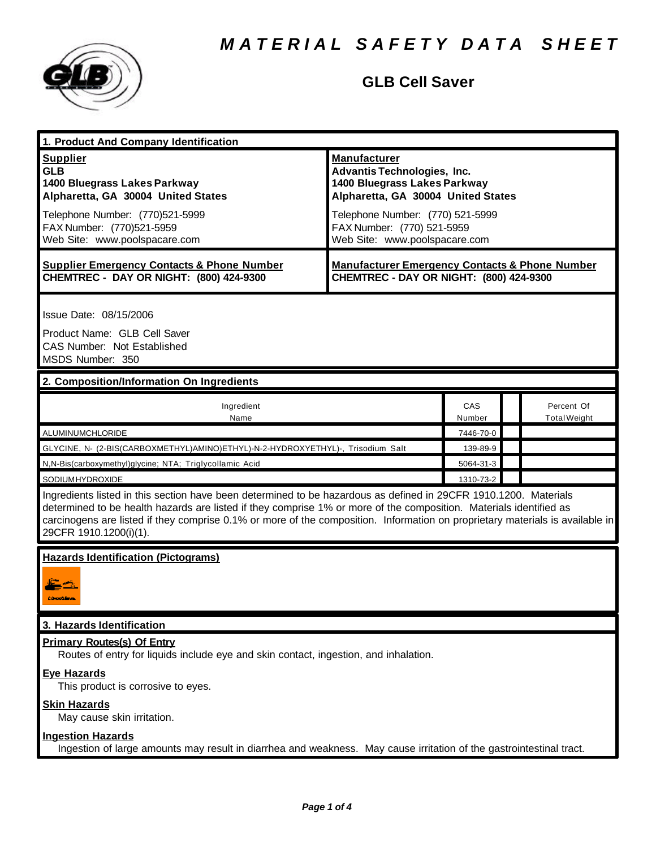

## **GLB Cell Saver**

| 1. Product And Company Identification                                                                                                                                                                                                                                                                                                                                                             |                                                                                                      |           |                     |
|---------------------------------------------------------------------------------------------------------------------------------------------------------------------------------------------------------------------------------------------------------------------------------------------------------------------------------------------------------------------------------------------------|------------------------------------------------------------------------------------------------------|-----------|---------------------|
| <b>Supplier</b><br><b>GLB</b><br>1400 Bluegrass Lakes Parkway                                                                                                                                                                                                                                                                                                                                     | <b>Manufacturer</b><br><b>Advantis Technologies, Inc.</b><br>1400 Bluegrass Lakes Parkway            |           |                     |
| Alpharetta, GA 30004 United States                                                                                                                                                                                                                                                                                                                                                                | Alpharetta, GA 30004 United States                                                                   |           |                     |
| Telephone Number: (770)521-5999<br>FAX Number: (770)521-5959<br>Web Site: www.poolspacare.com                                                                                                                                                                                                                                                                                                     | Telephone Number: (770) 521-5999<br>FAX Number: (770) 521-5959<br>Web Site: www.poolspacare.com      |           |                     |
| <b>Supplier Emergency Contacts &amp; Phone Number</b><br>CHEMTREC - DAY OR NIGHT: (800) 424-9300                                                                                                                                                                                                                                                                                                  | <b>Manufacturer Emergency Contacts &amp; Phone Number</b><br>CHEMTREC - DAY OR NIGHT: (800) 424-9300 |           |                     |
| Issue Date: 08/15/2006                                                                                                                                                                                                                                                                                                                                                                            |                                                                                                      |           |                     |
| Product Name: GLB Cell Saver<br>CAS Number: Not Established<br>MSDS Number: 350                                                                                                                                                                                                                                                                                                                   |                                                                                                      |           |                     |
| 2. Composition/Information On Ingredients                                                                                                                                                                                                                                                                                                                                                         |                                                                                                      |           |                     |
| Ingredient<br>Name                                                                                                                                                                                                                                                                                                                                                                                |                                                                                                      | CAS       | Percent Of          |
|                                                                                                                                                                                                                                                                                                                                                                                                   |                                                                                                      | Number    | <b>Total Weight</b> |
| ALUMINUMCHLORIDE                                                                                                                                                                                                                                                                                                                                                                                  |                                                                                                      | 7446-70-0 |                     |
| GLYCINE, N- (2-BIS(CARBOXMETHYL)AMINO)ETHYL)-N-2-HYDROXYETHYL)-, Trisodium Salt                                                                                                                                                                                                                                                                                                                   |                                                                                                      | 139-89-9  |                     |
| N,N-Bis(carboxymethyl)glycine; NTA; Triglycollamic Acid                                                                                                                                                                                                                                                                                                                                           |                                                                                                      | 5064-31-3 |                     |
| SODIUMHYDROXIDE                                                                                                                                                                                                                                                                                                                                                                                   |                                                                                                      | 1310-73-2 |                     |
| Ingredients listed in this section have been determined to be hazardous as defined in 29CFR 1910.1200. Materials<br>determined to be health hazards are listed if they comprise 1% or more of the composition. Materials identified as<br>carcinogens are listed if they comprise 0.1% or more of the composition. Information on proprietary materials is available in<br>29CFR 1910.1200(i)(1). |                                                                                                      |           |                     |
| <b>Hazards Identification (Pictograms)</b><br>CONNECTIONS                                                                                                                                                                                                                                                                                                                                         |                                                                                                      |           |                     |
| 3. Hazards Identification                                                                                                                                                                                                                                                                                                                                                                         |                                                                                                      |           |                     |
| <b>Primary Routes(s) Of Entry</b>                                                                                                                                                                                                                                                                                                                                                                 |                                                                                                      |           |                     |

### **Eye Hazards**

This product is corrosive to eyes.

### **Skin Hazards**

May cause skin irritation.

### **Ingestion Hazards**

Ingestion of large amounts may result in diarrhea and weakness. May cause irritation of the gastrointestinal tract.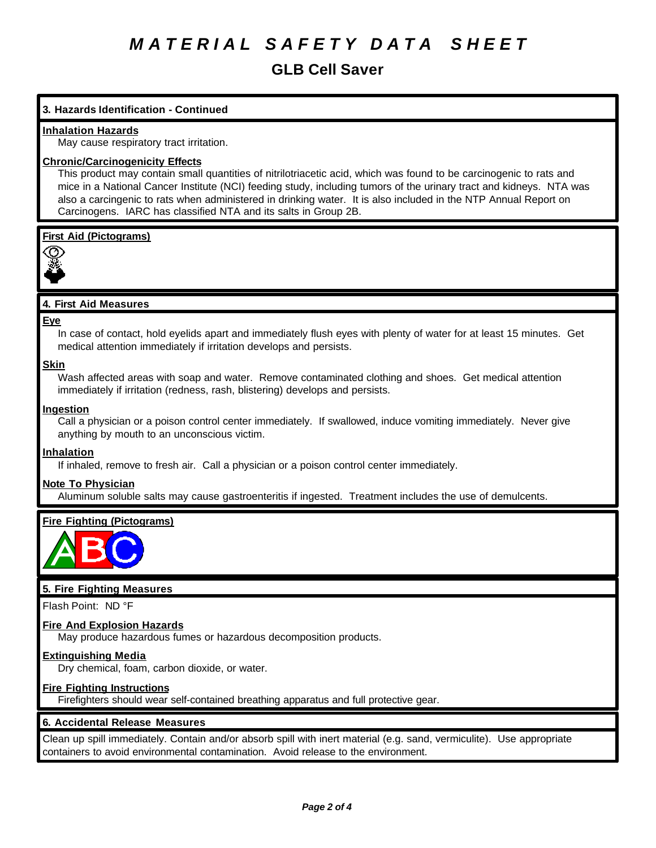# *M A T E R I A L S A F E T Y D A T A S H E E T*

## **GLB Cell Saver**

### **3. Hazards Identification - Continued**

### **Inhalation Hazards**

May cause respiratory tract irritation.

### **Chronic/Carcinogenicity Effects**

This product may contain small quantities of nitrilotriacetic acid, which was found to be carcinogenic to rats and mice in a National Cancer Institute (NCI) feeding study, including tumors of the urinary tract and kidneys. NTA was also a carcingenic to rats when administered in drinking water. It is also included in the NTP Annual Report on Carcinogens. IARC has classified NTA and its salts in Group 2B.

### **First Aid (Pictograms)**



### **4. First Aid Measures**

### **Eye**

In case of contact, hold eyelids apart and immediately flush eyes with plenty of water for at least 15 minutes. Get medical attention immediately if irritation develops and persists.

### **Skin**

Wash affected areas with soap and water. Remove contaminated clothing and shoes. Get medical attention immediately if irritation (redness, rash, blistering) develops and persists.

### **Ingestion**

Call a physician or a poison control center immediately. If swallowed, induce vomiting immediately. Never give anything by mouth to an unconscious victim.

### **Inhalation**

If inhaled, remove to fresh air. Call a physician or a poison control center immediately.

### **Note To Physician**

Aluminum soluble salts may cause gastroenteritis if ingested. Treatment includes the use of demulcents.

### **Fire Fighting (Pictograms)**



### **5. Fire Fighting Measures**

Flash Point: ND °F

### **Fire And Explosion Hazards**

May produce hazardous fumes or hazardous decomposition products.

### **Extinguishing Media**

Dry chemical, foam, carbon dioxide, or water.

### **Fire Fighting Instructions**

Firefighters should wear self-contained breathing apparatus and full protective gear.

### **6. Accidental Release Measures**

Clean up spill immediately. Contain and/or absorb spill with inert material (e.g. sand, vermiculite). Use appropriate containers to avoid environmental contamination. Avoid release to the environment.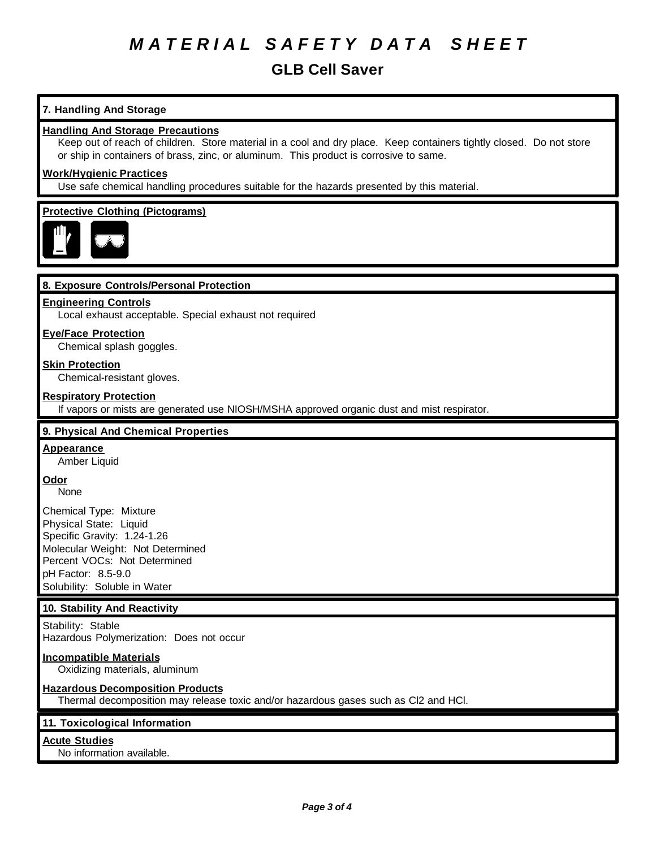# *M A T E R I A L S A F E T Y D A T A S H E E T*

## **GLB Cell Saver**

### **7. Handling And Storage**

### **Handling And Storage Precautions**

Keep out of reach of children. Store material in a cool and dry place. Keep containers tightly closed. Do not store or ship in containers of brass, zinc, or aluminum. This product is corrosive to same.

### **Work/Hygienic Practices**

Use safe chemical handling procedures suitable for the hazards presented by this material.

### **Protective Clothing (Pictograms)**



### **8. Exposure Controls/Personal Protection**

### **Engineering Controls**

Local exhaust acceptable. Special exhaust not required

### **Eye/Face Protection**

Chemical splash goggles.

### **Skin Protection**

Chemical-resistant gloves.

### **Respiratory Protection**

If vapors or mists are generated use NIOSH/MSHA approved organic dust and mist respirator.

### **9. Physical And Chemical Properties**

### **Appearance**

Amber Liquid

### **Odor**

None

Chemical Type: Mixture Physical State: Liquid Specific Gravity: 1.24-1.26 Molecular Weight: Not Determined Percent VOCs: Not Determined pH Factor: 8.5-9.0 Solubility: Soluble in Water

### **10. Stability And Reactivity**

Stability: Stable Hazardous Polymerization: Does not occur

### **Incompatible Materials**

Oxidizing materials, aluminum

### **Hazardous Decomposition Products**

Thermal decomposition may release toxic and/or hazardous gases such as Cl2 and HCl.

### **11. Toxicological Information**

### **Acute Studies**

No information available.